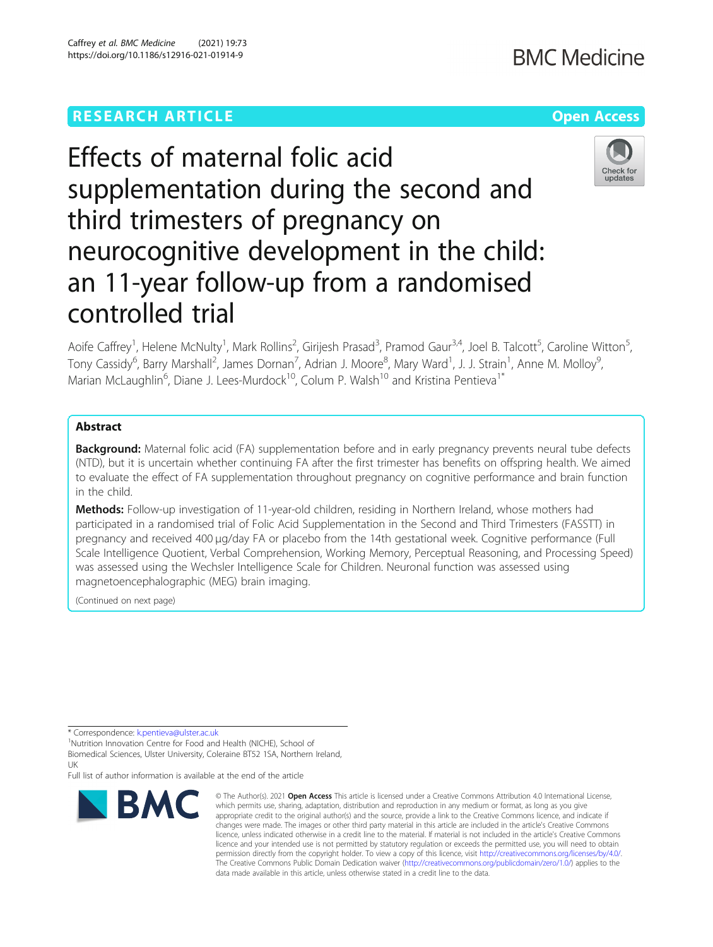# **RESEARCH ARTICLE Example 2014 12:30 The Company Access** (Capture 2014) 2014 12:30 The Open Access

# Effects of maternal folic acid supplementation during the second and third trimesters of pregnancy on neurocognitive development in the child: an 11-year follow-up from a randomised controlled trial

Aoife Caffrey<sup>1</sup>, Helene McNulty<sup>1</sup>, Mark Rollins<sup>2</sup>, Girijesh Prasad<sup>3</sup>, Pramod Gaur<sup>3,4</sup>, Joel B. Talcott<sup>5</sup>, Caroline Witton<sup>5</sup> , Tony Cassidy<sup>6</sup>, Barry Marshall<sup>2</sup>, James Dornan<sup>7</sup>, Adrian J. Moore<sup>8</sup>, Mary Ward<sup>1</sup>, J. J. Strain<sup>1</sup>, Anne M. Molloy<sup>9</sup> , Marian McLaughlin<sup>6</sup>, Diane J. Lees-Murdock<sup>10</sup>, Colum P. Walsh<sup>10</sup> and Kristina Pentieva<sup>1\*</sup>

# Abstract

Background: Maternal folic acid (FA) supplementation before and in early pregnancy prevents neural tube defects (NTD), but it is uncertain whether continuing FA after the first trimester has benefits on offspring health. We aimed to evaluate the effect of FA supplementation throughout pregnancy on cognitive performance and brain function in the child.

Methods: Follow-up investigation of 11-year-old children, residing in Northern Ireland, whose mothers had participated in a randomised trial of Folic Acid Supplementation in the Second and Third Trimesters (FASSTT) in pregnancy and received 400 μg/day FA or placebo from the 14th gestational week. Cognitive performance (Full Scale Intelligence Quotient, Verbal Comprehension, Working Memory, Perceptual Reasoning, and Processing Speed) was assessed using the Wechsler Intelligence Scale for Children. Neuronal function was assessed using magnetoencephalographic (MEG) brain imaging.

(Continued on next page)

\* Correspondence: [k.pentieva@ulster.ac.uk](mailto:k.pentieva@ulster.ac.uk) <sup>1</sup>

<sup>1</sup>Nutrition Innovation Centre for Food and Health (NICHE), School of Biomedical Sciences, Ulster University, Coleraine BT52 1SA, Northern Ireland, UK

Full list of author information is available at the end of the article





**BMC Medicine** 



<sup>©</sup> The Author(s), 2021 **Open Access** This article is licensed under a Creative Commons Attribution 4.0 International License, which permits use, sharing, adaptation, distribution and reproduction in any medium or format, as long as you give appropriate credit to the original author(s) and the source, provide a link to the Creative Commons licence, and indicate if changes were made. The images or other third party material in this article are included in the article's Creative Commons licence, unless indicated otherwise in a credit line to the material. If material is not included in the article's Creative Commons licence and your intended use is not permitted by statutory regulation or exceeds the permitted use, you will need to obtain permission directly from the copyright holder. To view a copy of this licence, visit [http://creativecommons.org/licenses/by/4.0/.](http://creativecommons.org/licenses/by/4.0/) The Creative Commons Public Domain Dedication waiver [\(http://creativecommons.org/publicdomain/zero/1.0/](http://creativecommons.org/publicdomain/zero/1.0/)) applies to the data made available in this article, unless otherwise stated in a credit line to the data.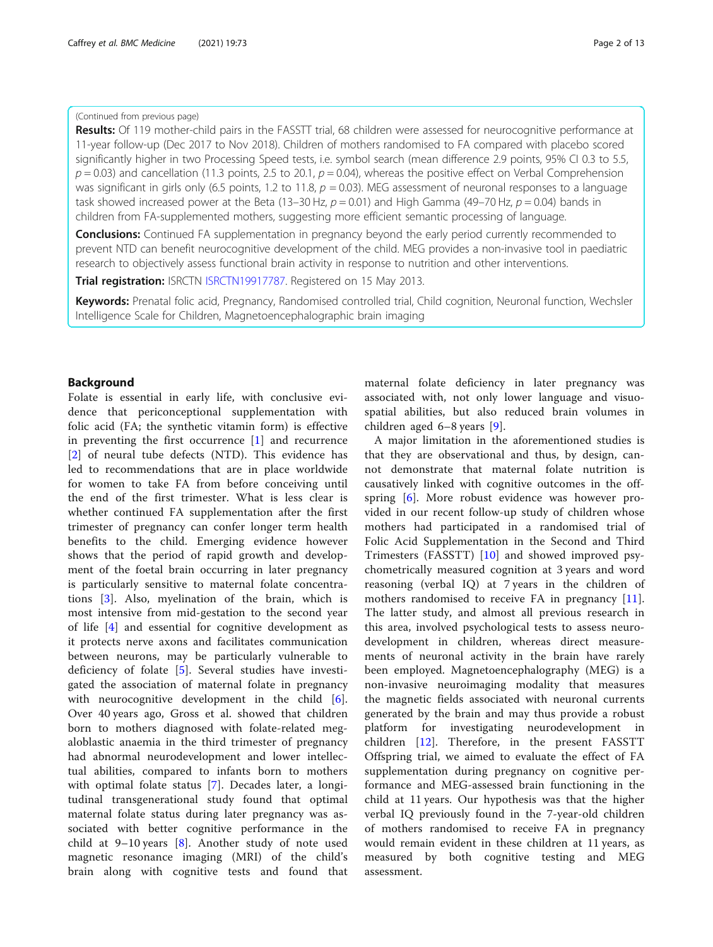#### (Continued from previous page)

Results: Of 119 mother-child pairs in the FASSTT trial, 68 children were assessed for neurocognitive performance at 11-year follow-up (Dec 2017 to Nov 2018). Children of mothers randomised to FA compared with placebo scored significantly higher in two Processing Speed tests, i.e. symbol search (mean difference 2.9 points, 95% CI 0.3 to 5.5,  $p = 0.03$ ) and cancellation (11.3 points, 2.5 to 20.1,  $p = 0.04$ ), whereas the positive effect on Verbal Comprehension was significant in girls only (6.5 points, 1.2 to 11.8,  $p = 0.03$ ). MEG assessment of neuronal responses to a language task showed increased power at the Beta (13–30 Hz,  $p = 0.01$ ) and High Gamma (49–70 Hz,  $p = 0.04$ ) bands in children from FA-supplemented mothers, suggesting more efficient semantic processing of language.

**Conclusions:** Continued FA supplementation in pregnancy beyond the early period currently recommended to prevent NTD can benefit neurocognitive development of the child. MEG provides a non-invasive tool in paediatric research to objectively assess functional brain activity in response to nutrition and other interventions.

Trial registration: ISRCTN [ISRCTN19917787](http://www.isrctn.com/ISRCTN19917787). Registered on 15 May 2013.

Keywords: Prenatal folic acid, Pregnancy, Randomised controlled trial, Child cognition, Neuronal function, Wechsler Intelligence Scale for Children, Magnetoencephalographic brain imaging

### Background

Folate is essential in early life, with conclusive evidence that periconceptional supplementation with folic acid (FA; the synthetic vitamin form) is effective in preventing the first occurrence [[1\]](#page-11-0) and recurrence [[2\]](#page-11-0) of neural tube defects (NTD). This evidence has led to recommendations that are in place worldwide for women to take FA from before conceiving until the end of the first trimester. What is less clear is whether continued FA supplementation after the first trimester of pregnancy can confer longer term health benefits to the child. Emerging evidence however shows that the period of rapid growth and development of the foetal brain occurring in later pregnancy is particularly sensitive to maternal folate concentrations [[3](#page-11-0)]. Also, myelination of the brain, which is most intensive from mid-gestation to the second year of life [[4\]](#page-11-0) and essential for cognitive development as it protects nerve axons and facilitates communication between neurons, may be particularly vulnerable to deficiency of folate [[5\]](#page-11-0). Several studies have investigated the association of maternal folate in pregnancy with neurocognitive development in the child [\[6](#page-11-0)]. Over 40 years ago, Gross et al. showed that children born to mothers diagnosed with folate-related megaloblastic anaemia in the third trimester of pregnancy had abnormal neurodevelopment and lower intellectual abilities, compared to infants born to mothers with optimal folate status [[7\]](#page-11-0). Decades later, a longitudinal transgenerational study found that optimal maternal folate status during later pregnancy was associated with better cognitive performance in the child at  $9-10$  years [\[8](#page-11-0)]. Another study of note used magnetic resonance imaging (MRI) of the child's brain along with cognitive tests and found that

maternal folate deficiency in later pregnancy was associated with, not only lower language and visuospatial abilities, but also reduced brain volumes in children aged 6–8 years [\[9](#page-11-0)].

A major limitation in the aforementioned studies is that they are observational and thus, by design, cannot demonstrate that maternal folate nutrition is causatively linked with cognitive outcomes in the offspring [[6\]](#page-11-0). More robust evidence was however provided in our recent follow-up study of children whose mothers had participated in a randomised trial of Folic Acid Supplementation in the Second and Third Trimesters (FASSTT) [\[10](#page-11-0)] and showed improved psychometrically measured cognition at 3 years and word reasoning (verbal IQ) at 7 years in the children of mothers randomised to receive FA in pregnancy [\[11](#page-11-0)]. The latter study, and almost all previous research in this area, involved psychological tests to assess neurodevelopment in children, whereas direct measurements of neuronal activity in the brain have rarely been employed. Magnetoencephalography (MEG) is a non-invasive neuroimaging modality that measures the magnetic fields associated with neuronal currents generated by the brain and may thus provide a robust platform for investigating neurodevelopment in children [[12\]](#page-11-0). Therefore, in the present FASSTT Offspring trial, we aimed to evaluate the effect of FA supplementation during pregnancy on cognitive performance and MEG-assessed brain functioning in the child at 11 years. Our hypothesis was that the higher verbal IQ previously found in the 7-year-old children of mothers randomised to receive FA in pregnancy would remain evident in these children at 11 years, as measured by both cognitive testing and MEG assessment.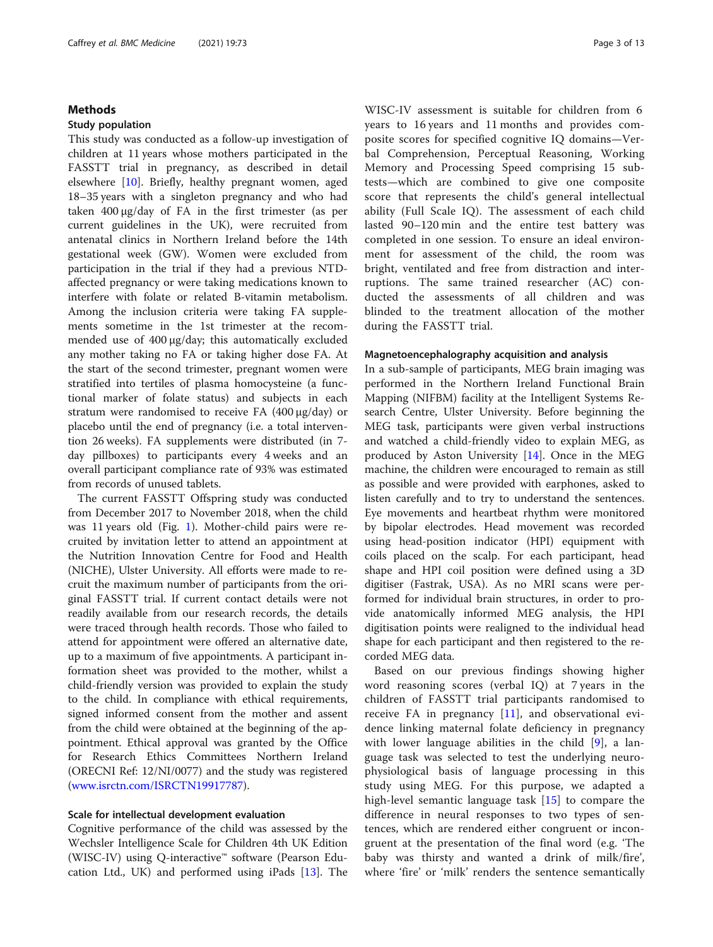#### Methods

#### Study population

This study was conducted as a follow-up investigation of children at 11 years whose mothers participated in the FASSTT trial in pregnancy, as described in detail elsewhere [[10\]](#page-11-0). Briefly, healthy pregnant women, aged 18–35 years with a singleton pregnancy and who had taken 400 μg/day of FA in the first trimester (as per current guidelines in the UK), were recruited from antenatal clinics in Northern Ireland before the 14th gestational week (GW). Women were excluded from participation in the trial if they had a previous NTDaffected pregnancy or were taking medications known to interfere with folate or related B-vitamin metabolism. Among the inclusion criteria were taking FA supplements sometime in the 1st trimester at the recommended use of 400 μg/day; this automatically excluded any mother taking no FA or taking higher dose FA. At the start of the second trimester, pregnant women were stratified into tertiles of plasma homocysteine (a functional marker of folate status) and subjects in each stratum were randomised to receive FA (400 μg/day) or placebo until the end of pregnancy (i.e. a total intervention 26 weeks). FA supplements were distributed (in 7 day pillboxes) to participants every 4 weeks and an overall participant compliance rate of 93% was estimated from records of unused tablets.

The current FASSTT Offspring study was conducted from December 2017 to November 2018, when the child was 11 years old (Fig. [1\)](#page-3-0). Mother-child pairs were recruited by invitation letter to attend an appointment at the Nutrition Innovation Centre for Food and Health (NICHE), Ulster University. All efforts were made to recruit the maximum number of participants from the original FASSTT trial. If current contact details were not readily available from our research records, the details were traced through health records. Those who failed to attend for appointment were offered an alternative date, up to a maximum of five appointments. A participant information sheet was provided to the mother, whilst a child-friendly version was provided to explain the study to the child. In compliance with ethical requirements, signed informed consent from the mother and assent from the child were obtained at the beginning of the appointment. Ethical approval was granted by the Office for Research Ethics Committees Northern Ireland (ORECNI Ref: 12/NI/0077) and the study was registered ([www.isrctn.com/ISRCTN19917787](http://www.isrctn.com/ISRCTN19917787)).

# Scale for intellectual development evaluation

Cognitive performance of the child was assessed by the Wechsler Intelligence Scale for Children 4th UK Edition (WISC-IV) using Q-interactive™ software (Pearson Education Ltd., UK) and performed using iPads [\[13](#page-11-0)]. The

WISC-IV assessment is suitable for children from 6 years to 16 years and 11 months and provides composite scores for specified cognitive IQ domains—Verbal Comprehension, Perceptual Reasoning, Working Memory and Processing Speed comprising 15 subtests—which are combined to give one composite score that represents the child's general intellectual ability (Full Scale IQ). The assessment of each child lasted 90–120 min and the entire test battery was completed in one session. To ensure an ideal environment for assessment of the child, the room was bright, ventilated and free from distraction and interruptions. The same trained researcher (AC) conducted the assessments of all children and was blinded to the treatment allocation of the mother during the FASSTT trial.

#### Magnetoencephalography acquisition and analysis

In a sub-sample of participants, MEG brain imaging was performed in the Northern Ireland Functional Brain Mapping (NIFBM) facility at the Intelligent Systems Research Centre, Ulster University. Before beginning the MEG task, participants were given verbal instructions and watched a child-friendly video to explain MEG, as produced by Aston University [\[14](#page-11-0)]. Once in the MEG machine, the children were encouraged to remain as still as possible and were provided with earphones, asked to listen carefully and to try to understand the sentences. Eye movements and heartbeat rhythm were monitored by bipolar electrodes. Head movement was recorded using head-position indicator (HPI) equipment with coils placed on the scalp. For each participant, head shape and HPI coil position were defined using a 3D digitiser (Fastrak, USA). As no MRI scans were performed for individual brain structures, in order to provide anatomically informed MEG analysis, the HPI digitisation points were realigned to the individual head shape for each participant and then registered to the recorded MEG data.

Based on our previous findings showing higher word reasoning scores (verbal IQ) at 7 years in the children of FASSTT trial participants randomised to receive FA in pregnancy [\[11](#page-11-0)], and observational evidence linking maternal folate deficiency in pregnancy with lower language abilities in the child [[9\]](#page-11-0), a language task was selected to test the underlying neurophysiological basis of language processing in this study using MEG. For this purpose, we adapted a high-level semantic language task [\[15](#page-11-0)] to compare the difference in neural responses to two types of sentences, which are rendered either congruent or incongruent at the presentation of the final word (e.g. 'The baby was thirsty and wanted a drink of milk/fire', where 'fire' or 'milk' renders the sentence semantically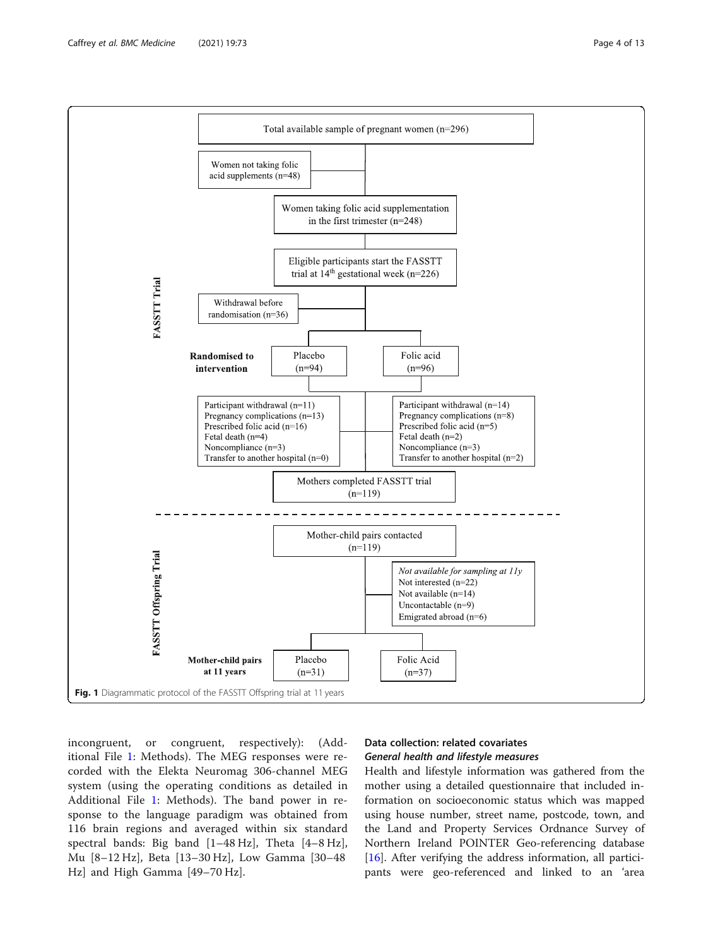<span id="page-3-0"></span>

incongruent, or congruent, respectively): (Additional File [1](#page-10-0): Methods). The MEG responses were recorded with the Elekta Neuromag 306-channel MEG system (using the operating conditions as detailed in Additional File [1](#page-10-0): Methods). The band power in response to the language paradigm was obtained from 116 brain regions and averaged within six standard spectral bands: Big band [1–48 Hz], Theta [4–8 Hz], Mu [8–12 Hz], Beta [13–30 Hz], Low Gamma [30–48 Hz] and High Gamma [49–70 Hz].

# Data collection: related covariates General health and lifestyle measures

Health and lifestyle information was gathered from the mother using a detailed questionnaire that included information on socioeconomic status which was mapped using house number, street name, postcode, town, and the Land and Property Services Ordnance Survey of Northern Ireland POINTER Geo-referencing database [[16\]](#page-11-0). After verifying the address information, all participants were geo-referenced and linked to an 'area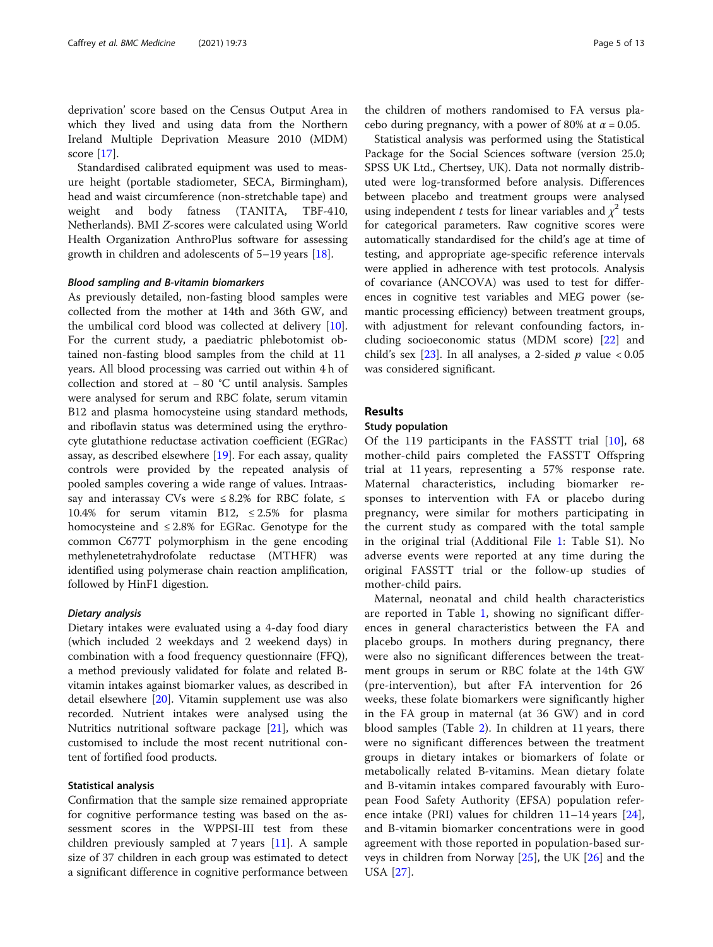deprivation' score based on the Census Output Area in which they lived and using data from the Northern Ireland Multiple Deprivation Measure 2010 (MDM) score [\[17\]](#page-11-0).

Standardised calibrated equipment was used to measure height (portable stadiometer, SECA, Birmingham), head and waist circumference (non-stretchable tape) and weight and body fatness (TANITA, TBF-410, Netherlands). BMI Z-scores were calculated using World Health Organization AnthroPlus software for assessing growth in children and adolescents of 5–19 years [[18](#page-11-0)].

#### Blood sampling and B-vitamin biomarkers

As previously detailed, non-fasting blood samples were collected from the mother at 14th and 36th GW, and the umbilical cord blood was collected at delivery [\[10](#page-11-0)]. For the current study, a paediatric phlebotomist obtained non-fasting blood samples from the child at 11 years. All blood processing was carried out within 4 h of collection and stored at − 80 °C until analysis. Samples were analysed for serum and RBC folate, serum vitamin B12 and plasma homocysteine using standard methods, and riboflavin status was determined using the erythrocyte glutathione reductase activation coefficient (EGRac) assay, as described elsewhere [\[19\]](#page-11-0). For each assay, quality controls were provided by the repeated analysis of pooled samples covering a wide range of values. Intraassay and interassay CVs were  $\leq 8.2\%$  for RBC folate,  $\leq$ 10.4% for serum vitamin B12,  $\leq 2.5\%$  for plasma homocysteine and  $\leq 2.8\%$  for EGRac. Genotype for the common C677T polymorphism in the gene encoding methylenetetrahydrofolate reductase (MTHFR) was identified using polymerase chain reaction amplification, followed by HinF1 digestion.

#### Dietary analysis

Dietary intakes were evaluated using a 4-day food diary (which included 2 weekdays and 2 weekend days) in combination with a food frequency questionnaire (FFQ), a method previously validated for folate and related Bvitamin intakes against biomarker values, as described in detail elsewhere [\[20\]](#page-11-0). Vitamin supplement use was also recorded. Nutrient intakes were analysed using the Nutritics nutritional software package [[21\]](#page-11-0), which was customised to include the most recent nutritional content of fortified food products.

#### Statistical analysis

Confirmation that the sample size remained appropriate for cognitive performance testing was based on the assessment scores in the WPPSI-III test from these children previously sampled at 7 years [[11](#page-11-0)]. A sample size of 37 children in each group was estimated to detect a significant difference in cognitive performance between

the children of mothers randomised to FA versus placebo during pregnancy, with a power of 80% at  $\alpha$  = 0.05.

Statistical analysis was performed using the Statistical Package for the Social Sciences software (version 25.0; SPSS UK Ltd., Chertsey, UK). Data not normally distributed were log-transformed before analysis. Differences between placebo and treatment groups were analysed using independent t tests for linear variables and  $\chi^2$  tests for categorical parameters. Raw cognitive scores were automatically standardised for the child's age at time of testing, and appropriate age-specific reference intervals were applied in adherence with test protocols. Analysis of covariance (ANCOVA) was used to test for differences in cognitive test variables and MEG power (semantic processing efficiency) between treatment groups, with adjustment for relevant confounding factors, including socioeconomic status (MDM score) [[22](#page-11-0)] and child's sex [\[23](#page-11-0)]. In all analyses, a 2-sided  $p$  value < 0.05 was considered significant.

# Results

#### Study population

Of the 119 participants in the FASSTT trial [\[10](#page-11-0)], 68 mother-child pairs completed the FASSTT Offspring trial at 11 years, representing a 57% response rate. Maternal characteristics, including biomarker responses to intervention with FA or placebo during pregnancy, were similar for mothers participating in the current study as compared with the total sample in the original trial (Additional File [1](#page-10-0): Table S1). No adverse events were reported at any time during the original FASSTT trial or the follow-up studies of mother-child pairs.

Maternal, neonatal and child health characteristics are reported in Table [1](#page-5-0), showing no significant differences in general characteristics between the FA and placebo groups. In mothers during pregnancy, there were also no significant differences between the treatment groups in serum or RBC folate at the 14th GW (pre-intervention), but after FA intervention for 26 weeks, these folate biomarkers were significantly higher in the FA group in maternal (at 36 GW) and in cord blood samples (Table [2](#page-6-0)). In children at 11 years, there were no significant differences between the treatment groups in dietary intakes or biomarkers of folate or metabolically related B-vitamins. Mean dietary folate and B-vitamin intakes compared favourably with European Food Safety Authority (EFSA) population reference intake (PRI) values for children 11–14 years [\[24](#page-11-0)], and B-vitamin biomarker concentrations were in good agreement with those reported in population-based surveys in children from Norway [[25\]](#page-11-0), the UK [[26\]](#page-11-0) and the USA [\[27](#page-11-0)].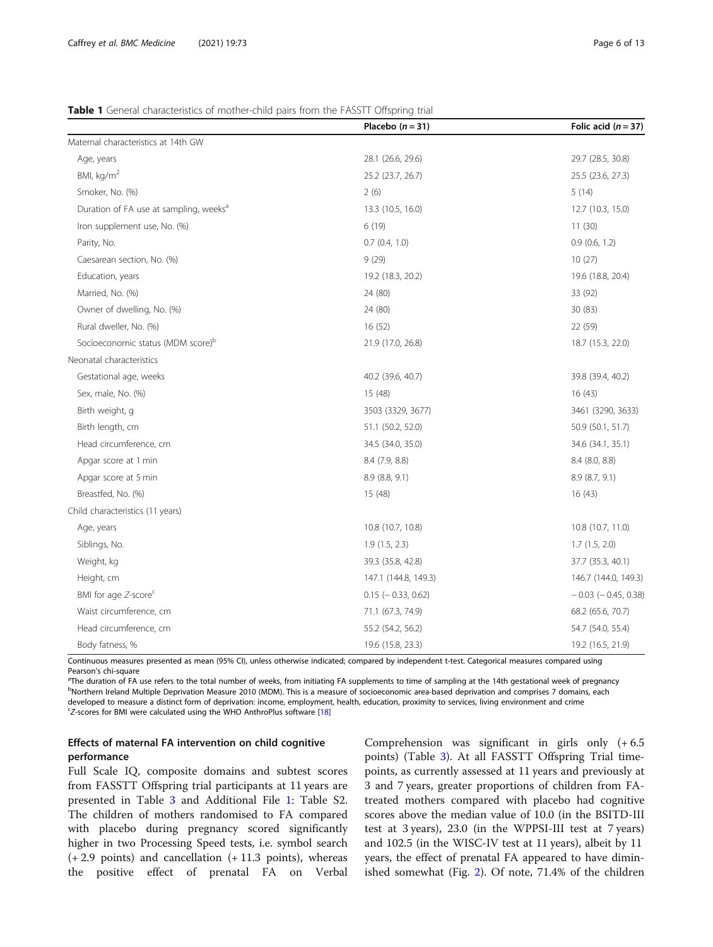### <span id="page-5-0"></span>Table 1 General characteristics of mother-child pairs from the FASSTT Offspring trial

|                                                    | Placebo $(n=31)$         | Folic acid $(n = 37)$     |
|----------------------------------------------------|--------------------------|---------------------------|
| Maternal characteristics at 14th GW                |                          |                           |
| Age, years                                         | 28.1 (26.6, 29.6)        | 29.7 (28.5, 30.8)         |
| BMI, $kg/m2$                                       | 25.2 (23.7, 26.7)        | 25.5 (23.6, 27.3)         |
| Smoker, No. (%)                                    | 2(6)                     | 5(14)                     |
| Duration of FA use at sampling, weeks <sup>a</sup> | 13.3 (10.5, 16.0)        | 12.7 (10.3, 15.0)         |
| Iron supplement use, No. (%)                       | 6(19)                    | 11(30)                    |
| Parity, No.                                        | 0.7(0.4, 1.0)            | 0.9(0.6, 1.2)             |
| Caesarean section, No. (%)                         | 9(29)                    | 10(27)                    |
| Education, years                                   | 19.2 (18.3, 20.2)        | 19.6 (18.8, 20.4)         |
| Married, No. (%)                                   | 24 (80)                  | 33 (92)                   |
| Owner of dwelling, No. (%)                         | 24 (80)                  | 30(83)                    |
| Rural dweller, No. (%)                             | 16(52)                   | 22 (59)                   |
| Socioeconomic status (MDM score) <sup>b</sup>      | 21.9 (17.0, 26.8)        | 18.7 (15.3, 22.0)         |
| Neonatal characteristics                           |                          |                           |
| Gestational age, weeks                             | 40.2 (39.6, 40.7)        | 39.8 (39.4, 40.2)         |
| Sex, male, No. (%)                                 | 15 (48)                  | 16(43)                    |
| Birth weight, g                                    | 3503 (3329, 3677)        | 3461 (3290, 3633)         |
| Birth length, cm                                   | 51.1 (50.2, 52.0)        | 50.9 (50.1, 51.7)         |
| Head circumference, cm                             | 34.5 (34.0, 35.0)        | 34.6 (34.1, 35.1)         |
| Apgar score at 1 min                               | 8.4 (7.9, 8.8)           | 8.4 (8.0, 8.8)            |
| Apgar score at 5 min                               | 8.9 (8.8, 9.1)           | 8.9 (8.7, 9.1)            |
| Breastfed, No. (%)                                 | 15 (48)                  | 16(43)                    |
| Child characteristics (11 years)                   |                          |                           |
| Age, years                                         | 10.8 (10.7, 10.8)        | 10.8 (10.7, 11.0)         |
| Siblings, No.                                      | 1.9(1.5, 2.3)            | 1.7(1.5, 2.0)             |
| Weight, kg                                         | 39.3 (35.8, 42.8)        | 37.7 (35.3, 40.1)         |
| Height, cm                                         | 147.1 (144.8, 149.3)     | 146.7 (144.0, 149.3)      |
| BMI for age Z-score <sup>c</sup>                   | $0.15$ ( $-0.33$ , 0.62) | $-0.03$ ( $-0.45$ , 0.38) |
| Waist circumference, cm                            | 71.1 (67.3, 74.9)        | 68.2 (65.6, 70.7)         |
| Head circumference, cm                             | 55.2 (54.2, 56.2)        | 54.7 (54.0, 55.4)         |
| Body fatness, %                                    | 19.6 (15.8, 23.3)        | 19.2 (16.5, 21.9)         |

Continuous measures presented as mean (95% CI), unless otherwise indicated; compared by independent t-test. Categorical measures compared using Pearson's chi-square

<sup>a</sup>The duration of FA use refers to the total number of weeks, from initiating FA supplements to time of sampling at the 14th gestational week of pregnancy <sup>b</sup>Northern Ireland Multiple Deprivation Measure 2010 (MDM). This is a measure of socioeconomic area-based deprivation and comprises 7 domains, each developed to measure a distinct form of deprivation: income, employment, health, education, proximity to services, living environment and crime <sup>c</sup>Z-scores for BMI were calculated using the WHO AnthroPlus software [\[18\]](#page-11-0)

# Effects of maternal FA intervention on child cognitive performance

Full Scale IQ, composite domains and subtest scores from FASSTT Offspring trial participants at 11 years are presented in Table [3](#page-7-0) and Additional File [1:](#page-10-0) Table S2. The children of mothers randomised to FA compared with placebo during pregnancy scored significantly higher in two Processing Speed tests, i.e. symbol search (+ 2.9 points) and cancellation (+ 11.3 points), whereas the positive effect of prenatal FA on Verbal

Comprehension was significant in girls only (+ 6.5 points) (Table [3\)](#page-7-0). At all FASSTT Offspring Trial timepoints, as currently assessed at 11 years and previously at 3 and 7 years, greater proportions of children from FAtreated mothers compared with placebo had cognitive scores above the median value of 10.0 (in the BSITD-III test at 3 years), 23.0 (in the WPPSI-III test at 7 years) and 102.5 (in the WISC-IV test at 11 years), albeit by 11 years, the effect of prenatal FA appeared to have diminished somewhat (Fig. [2](#page-8-0)). Of note, 71.4% of the children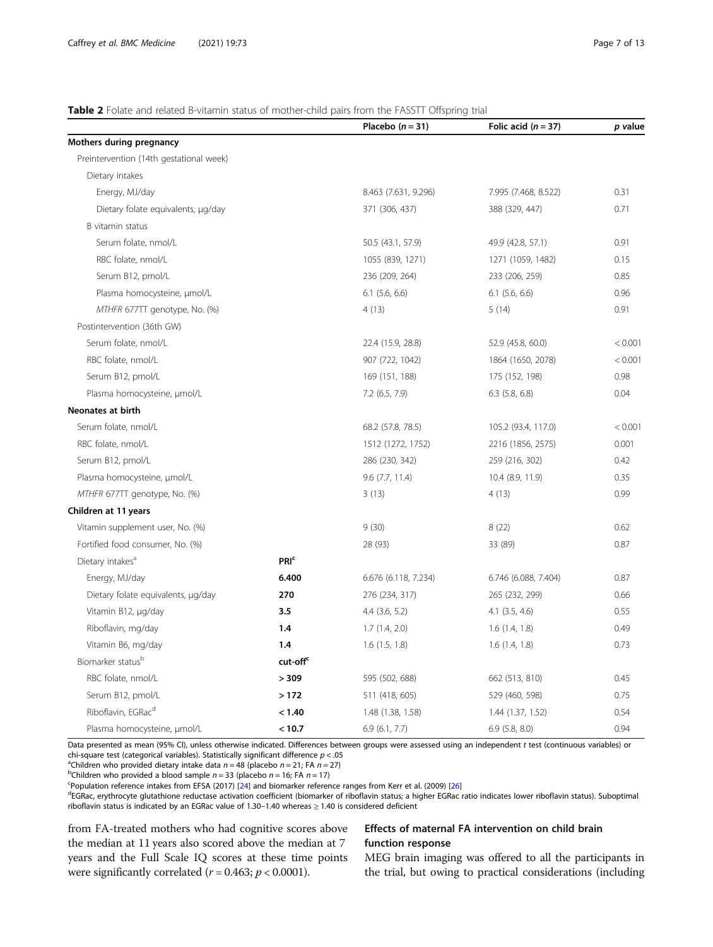#### <span id="page-6-0"></span>Table 2 Folate and related B-vitamin status of mother-child pairs from the FASSTT Offspring trial

|                                         |                         | Placebo $(n=31)$     | Folic acid $(n = 37)$ | p value |
|-----------------------------------------|-------------------------|----------------------|-----------------------|---------|
| Mothers during pregnancy                |                         |                      |                       |         |
| Preintervention (14th gestational week) |                         |                      |                       |         |
| Dietary intakes                         |                         |                      |                       |         |
| Energy, MJ/day                          |                         | 8.463 (7.631, 9.296) | 7.995 (7.468, 8.522)  | 0.31    |
| Dietary folate equivalents, µg/day      |                         | 371 (306, 437)       | 388 (329, 447)        | 0.71    |
| B vitamin status                        |                         |                      |                       |         |
| Serum folate, nmol/L                    |                         | 50.5 (43.1, 57.9)    | 49.9 (42.8, 57.1)     | 0.91    |
| RBC folate, nmol/L                      |                         | 1055 (839, 1271)     | 1271 (1059, 1482)     | 0.15    |
| Serum B12, pmol/L                       |                         | 236 (209, 264)       | 233 (206, 259)        | 0.85    |
| Plasma homocysteine, µmol/L             |                         | $6.1$ (5.6, 6.6)     | $6.1$ (5.6, 6.6)      | 0.96    |
| MTHFR 677TT genotype, No. (%)           |                         | 4(13)                | 5(14)                 | 0.91    |
| Postintervention (36th GW)              |                         |                      |                       |         |
| Serum folate, nmol/L                    |                         | 22.4 (15.9, 28.8)    | 52.9 (45.8, 60.0)     | < 0.001 |
| RBC folate, nmol/L                      |                         | 907 (722, 1042)      | 1864 (1650, 2078)     | < 0.001 |
| Serum B12, pmol/L                       |                         | 169 (151, 188)       | 175 (152, 198)        | 0.98    |
| Plasma homocysteine, µmol/L             |                         | $7.2$ (6.5, 7.9)     | $6.3$ $(5.8, 6.8)$    | 0.04    |
| Neonates at birth                       |                         |                      |                       |         |
| Serum folate, nmol/L                    |                         | 68.2 (57.8, 78.5)    | 105.2 (93.4, 117.0)   | < 0.001 |
| RBC folate, nmol/L                      |                         | 1512 (1272, 1752)    | 2216 (1856, 2575)     | 0.001   |
| Serum B12, pmol/L                       |                         | 286 (230, 342)       | 259 (216, 302)        | 0.42    |
| Plasma homocysteine, µmol/L             |                         | $9.6$ (7.7, 11.4)    | 10.4 (8.9, 11.9)      | 0.35    |
| MTHFR 677TT genotype, No. (%)           |                         | 3(13)                | 4(13)                 | 0.99    |
| Children at 11 years                    |                         |                      |                       |         |
| Vitamin supplement user, No. (%)        |                         | 9(30)                | 8(22)                 | 0.62    |
| Fortified food consumer, No. (%)        |                         | 28 (93)              | 33 (89)               | 0.87    |
| Dietary intakes <sup>a</sup>            | <b>PRI</b> <sup>c</sup> |                      |                       |         |
| Energy, MJ/day                          | 6.400                   | 6.676 (6.118, 7.234) | 6.746 (6.088, 7.404)  | 0.87    |
| Dietary folate equivalents, µg/day      | 270                     | 276 (234, 317)       | 265 (232, 299)        | 0.66    |
| Vitamin B12, µg/day                     | 3.5                     | $4.4$ $(3.6, 5.2)$   | $4.1$ $(3.5, 4.6)$    | 0.55    |
| Riboflavin, mg/day                      | 1.4                     | 1.7(1.4, 2.0)        | 1.6(1.4, 1.8)         | 0.49    |
| Vitamin B6, mg/day                      | 1.4                     | 1.6(1.5, 1.8)        | 1.6(1.4, 1.8)         | 0.73    |
| Biomarker statusb                       | cut-off <sup>c</sup>    |                      |                       |         |
| RBC folate, nmol/L                      | > 309                   | 595 (502, 688)       | 662 (513, 810)        | 0.45    |
| Serum B12, pmol/L                       | >172                    | 511 (418, 605)       | 529 (460, 598)        | 0.75    |
| Riboflavin, EGRac <sup>d</sup>          | < 1.40                  | 1.48 (1.38, 1.58)    | 1.44 (1.37, 1.52)     | 0.54    |
| Plasma homocysteine, µmol/L             | < 10.7                  | 6.9(6.1, 7.7)        | $6.9$ $(5.8, 8.0)$    | 0.94    |

Data presented as mean (95% CI), unless otherwise indicated. Differences between groups were assessed using an independent t test (continuous variables) or chi-square test (categorical variables). Statistically significant difference  $p < .05$ 

<sup>a</sup>Children who provided dietary intake data  $n = 48$  (placebo  $n = 21$ ; FA  $n = 27$ )

<sup>b</sup>Children who provided a blood sample  $n = 33$  (placebo  $n = 16$ ; FA  $n = 17$ )

<sup>c</sup>Population reference intakes from EFSA (2017) [\[24](#page-11-0)] and biomarker reference ranges from Kerr et al. (2009) [[26](#page-11-0)]

<sup>d</sup>EGRac, erythrocyte glutathione reductase activation coefficient (biomarker of riboflavin status; a higher EGRac ratio indicates lower riboflavin status). Suboptimal riboflavin status is indicated by an EGRac value of 1.30–1.40 whereas ≥ 1.40 is considered deficient

from FA-treated mothers who had cognitive scores above the median at 11 years also scored above the median at 7 years and the Full Scale IQ scores at these time points were significantly correlated ( $r = 0.463$ ;  $p < 0.0001$ ).

# Effects of maternal FA intervention on child brain function response

MEG brain imaging was offered to all the participants in the trial, but owing to practical considerations (including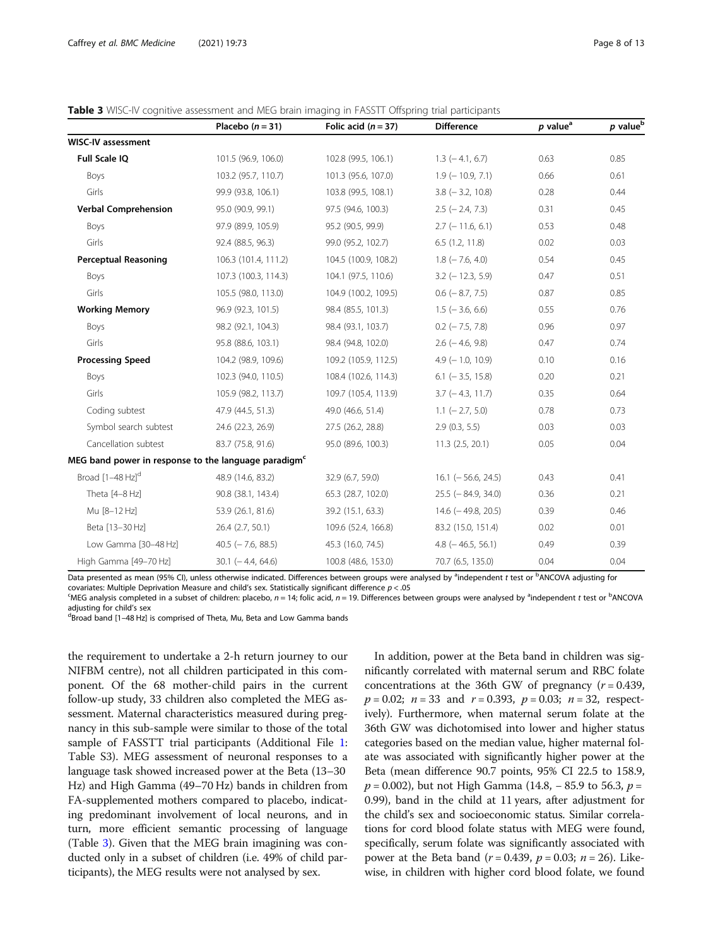#### <span id="page-7-0"></span>Table 3 WISC-IV cognitive assessment and MEG brain imaging in FASSTT Offspring trial participants

|                                                                  | Placebo $(n = 31)$      | Folic acid $(n = 37)$ | <b>Difference</b>         | $p$ value <sup>a</sup> | $p$ value <sup>b</sup> |
|------------------------------------------------------------------|-------------------------|-----------------------|---------------------------|------------------------|------------------------|
| <b>WISC-IV assessment</b>                                        |                         |                       |                           |                        |                        |
| Full Scale IQ                                                    | 101.5 (96.9, 106.0)     | 102.8 (99.5, 106.1)   | $1.3$ ( $-4.1$ , 6.7)     | 0.63                   | 0.85                   |
| Boys                                                             | 103.2 (95.7, 110.7)     | 101.3 (95.6, 107.0)   | $1.9$ ( $-10.9$ , $7.1$ ) | 0.66                   | 0.61                   |
| Girls                                                            | 99.9 (93.8, 106.1)      | 103.8 (99.5, 108.1)   | $3.8$ ( $-3.2$ , 10.8)    | 0.28                   | 0.44                   |
| <b>Verbal Comprehension</b>                                      | 95.0 (90.9, 99.1)       | 97.5 (94.6, 100.3)    | $2.5$ ( $-2.4$ , 7.3)     | 0.31                   | 0.45                   |
| Boys                                                             | 97.9 (89.9, 105.9)      | 95.2 (90.5, 99.9)     | $2.7$ (-11.6, 6.1)        | 0.53                   | 0.48                   |
| Girls                                                            | 92.4 (88.5, 96.3)       | 99.0 (95.2, 102.7)    | 6.5(1.2, 11.8)            | 0.02                   | 0.03                   |
| <b>Perceptual Reasoning</b>                                      | 106.3 (101.4, 111.2)    | 104.5 (100.9, 108.2)  | $1.8$ ( $-7.6$ , 4.0)     | 0.54                   | 0.45                   |
| Boys                                                             | 107.3 (100.3, 114.3)    | 104.1 (97.5, 110.6)   | $3.2$ (-12.3, 5.9)        | 0.47                   | 0.51                   |
| Girls                                                            | 105.5 (98.0, 113.0)     | 104.9 (100.2, 109.5)  | $0.6$ ( $-8.7, 7.5$ )     | 0.87                   | 0.85                   |
| <b>Working Memory</b>                                            | 96.9 (92.3, 101.5)      | 98.4 (85.5, 101.3)    | $1.5$ ( $-3.6$ , 6.6)     | 0.55                   | 0.76                   |
| Boys                                                             | 98.2 (92.1, 104.3)      | 98.4 (93.1, 103.7)    | $0.2$ ( $-7.5$ , $7.8$ )  | 0.96                   | 0.97                   |
| Girls                                                            | 95.8 (88.6, 103.1)      | 98.4 (94.8, 102.0)    | $2.6$ ( $-4.6$ , 9.8)     | 0.47                   | 0.74                   |
| <b>Processing Speed</b>                                          | 104.2 (98.9, 109.6)     | 109.2 (105.9, 112.5)  | $4.9$ ( $-1.0$ , 10.9)    | 0.10                   | 0.16                   |
| Boys                                                             | 102.3 (94.0, 110.5)     | 108.4 (102.6, 114.3)  | $6.1$ ( $-3.5$ , 15.8)    | 0.20                   | 0.21                   |
| Girls                                                            | 105.9 (98.2, 113.7)     | 109.7 (105.4, 113.9)  | $3.7$ ( $-4.3$ , 11.7)    | 0.35                   | 0.64                   |
| Coding subtest                                                   | 47.9 (44.5, 51.3)       | 49.0 (46.6, 51.4)     | $1.1$ ( $-2.7, 5.0$ )     | 0.78                   | 0.73                   |
| Symbol search subtest                                            | 24.6 (22.3, 26.9)       | 27.5 (26.2, 28.8)     | 2.9(0.3, 5.5)             | 0.03                   | 0.03                   |
| Cancellation subtest                                             | 83.7 (75.8, 91.6)       | 95.0 (89.6, 100.3)    | $11.3$ $(2.5, 20.1)$      | 0.05                   | 0.04                   |
| MEG band power in response to the language paradigm <sup>c</sup> |                         |                       |                           |                        |                        |
| Broad [1-48 Hz] <sup>d</sup>                                     | 48.9 (14.6, 83.2)       | 32.9 (6.7, 59.0)      | $16.1$ (-56.6, 24.5)      | 0.43                   | 0.41                   |
| Theta [4-8 Hz]                                                   | 90.8 (38.1, 143.4)      | 65.3 (28.7, 102.0)    | $25.5$ (-84.9, 34.0)      | 0.36                   | 0.21                   |
| Mu [8-12 Hz]                                                     | 53.9 (26.1, 81.6)       | 39.2 (15.1, 63.3)     | $14.6$ ( $-49.8$ , 20.5)  | 0.39                   | 0.46                   |
| Beta [13-30 Hz]                                                  | 26.4(2.7, 50.1)         | 109.6 (52.4, 166.8)   | 83.2 (15.0, 151.4)        | 0.02                   | 0.01                   |
| Low Gamma [30-48 Hz]                                             | $40.5$ ( $-7.6$ , 88.5) | 45.3 (16.0, 74.5)     | $4.8$ ( $-46.5, 56.1$ )   | 0.49                   | 0.39                   |
| High Gamma [49-70 Hz]                                            | $30.1$ ( $-4.4$ , 64.6) | 100.8 (48.6, 153.0)   | 70.7 (6.5, 135.0)         | 0.04                   | 0.04                   |

Data presented as mean (95% CI), unless otherwise indicated. Differences between groups were analysed by <sup>a</sup>independent *t* test or <sup>b</sup>ANCOVA adjusting for covariates: Multiple Deprivation Measure and child's sex. Statistically significant difference  $p < 0.05$ 

MEG analysis completed in a subset of children: placebo, n = 14; folic acid, n = 19. Differences between groups were analysed by <sup>a</sup>independent t test or <sup>b</sup>ANCOVA adjusting for child's sex

<sup>d</sup>Broad band [1-48 Hz] is comprised of Theta, Mu, Beta and Low Gamma bands

the requirement to undertake a 2-h return journey to our NIFBM centre), not all children participated in this component. Of the 68 mother-child pairs in the current follow-up study, 33 children also completed the MEG assessment. Maternal characteristics measured during pregnancy in this sub-sample were similar to those of the total sample of FASSTT trial participants (Additional File [1](#page-10-0): Table S3). MEG assessment of neuronal responses to a language task showed increased power at the Beta (13–30 Hz) and High Gamma (49–70 Hz) bands in children from FA-supplemented mothers compared to placebo, indicating predominant involvement of local neurons, and in turn, more efficient semantic processing of language (Table 3). Given that the MEG brain imagining was conducted only in a subset of children (i.e. 49% of child participants), the MEG results were not analysed by sex.

In addition, power at the Beta band in children was significantly correlated with maternal serum and RBC folate concentrations at the 36th GW of pregnancy  $(r = 0.439,$  $p = 0.02$ ;  $n = 33$  and  $r = 0.393$ ,  $p = 0.03$ ;  $n = 32$ , respectively). Furthermore, when maternal serum folate at the 36th GW was dichotomised into lower and higher status categories based on the median value, higher maternal folate was associated with significantly higher power at the Beta (mean difference 90.7 points, 95% CI 22.5 to 158.9,  $p = 0.002$ ), but not High Gamma (14.8, – 85.9 to 56.3,  $p =$ 0.99), band in the child at 11 years, after adjustment for the child's sex and socioeconomic status. Similar correlations for cord blood folate status with MEG were found, specifically, serum folate was significantly associated with power at the Beta band ( $r = 0.439$ ,  $p = 0.03$ ;  $n = 26$ ). Likewise, in children with higher cord blood folate, we found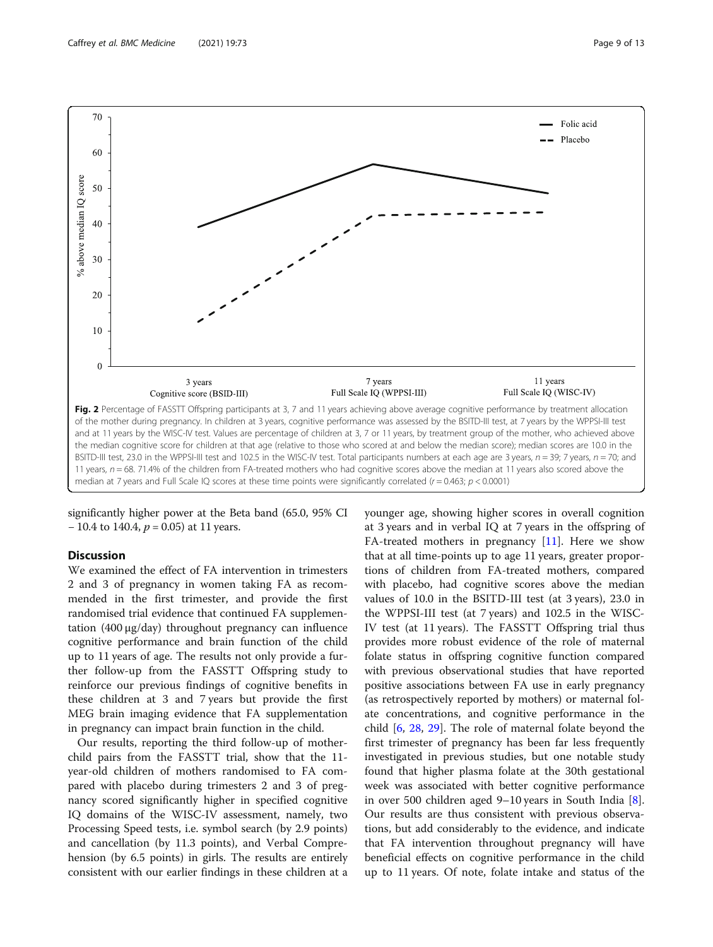<span id="page-8-0"></span>

significantly higher power at the Beta band (65.0, 95% CI  $-10.4$  to 140.4,  $p = 0.05$ ) at 11 years.

# **Discussion**

We examined the effect of FA intervention in trimesters 2 and 3 of pregnancy in women taking FA as recommended in the first trimester, and provide the first randomised trial evidence that continued FA supplementation (400 μg/day) throughout pregnancy can influence cognitive performance and brain function of the child up to 11 years of age. The results not only provide a further follow-up from the FASSTT Offspring study to reinforce our previous findings of cognitive benefits in these children at 3 and 7 years but provide the first MEG brain imaging evidence that FA supplementation in pregnancy can impact brain function in the child.

Our results, reporting the third follow-up of motherchild pairs from the FASSTT trial, show that the 11 year-old children of mothers randomised to FA compared with placebo during trimesters 2 and 3 of pregnancy scored significantly higher in specified cognitive IQ domains of the WISC-IV assessment, namely, two Processing Speed tests, i.e. symbol search (by 2.9 points) and cancellation (by 11.3 points), and Verbal Comprehension (by 6.5 points) in girls. The results are entirely consistent with our earlier findings in these children at a younger age, showing higher scores in overall cognition at 3 years and in verbal IQ at 7 years in the offspring of FA-treated mothers in pregnancy [[11\]](#page-11-0). Here we show that at all time-points up to age 11 years, greater proportions of children from FA-treated mothers, compared with placebo, had cognitive scores above the median values of 10.0 in the BSITD-III test (at 3 years), 23.0 in the WPPSI-III test (at 7 years) and 102.5 in the WISC-IV test (at 11 years). The FASSTT Offspring trial thus provides more robust evidence of the role of maternal folate status in offspring cognitive function compared with previous observational studies that have reported positive associations between FA use in early pregnancy (as retrospectively reported by mothers) or maternal folate concentrations, and cognitive performance in the child [\[6](#page-11-0), [28,](#page-11-0) [29](#page-11-0)]. The role of maternal folate beyond the first trimester of pregnancy has been far less frequently investigated in previous studies, but one notable study found that higher plasma folate at the 30th gestational week was associated with better cognitive performance in over 500 children aged 9–10 years in South India [\[8](#page-11-0)]. Our results are thus consistent with previous observations, but add considerably to the evidence, and indicate that FA intervention throughout pregnancy will have beneficial effects on cognitive performance in the child up to 11 years. Of note, folate intake and status of the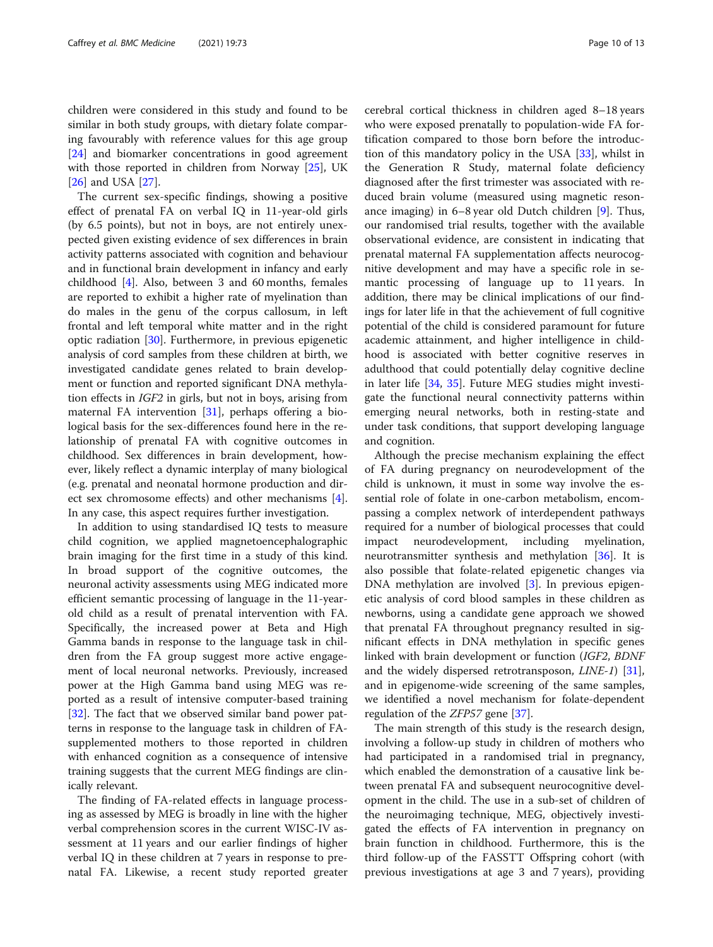children were considered in this study and found to be similar in both study groups, with dietary folate comparing favourably with reference values for this age group [[24\]](#page-11-0) and biomarker concentrations in good agreement with those reported in children from Norway [\[25](#page-11-0)], UK [[26\]](#page-11-0) and USA [[27\]](#page-11-0).

The current sex-specific findings, showing a positive effect of prenatal FA on verbal IQ in 11-year-old girls (by 6.5 points), but not in boys, are not entirely unexpected given existing evidence of sex differences in brain activity patterns associated with cognition and behaviour and in functional brain development in infancy and early childhood [[4\]](#page-11-0). Also, between 3 and 60 months, females are reported to exhibit a higher rate of myelination than do males in the genu of the corpus callosum, in left frontal and left temporal white matter and in the right optic radiation [[30\]](#page-11-0). Furthermore, in previous epigenetic analysis of cord samples from these children at birth, we investigated candidate genes related to brain development or function and reported significant DNA methylation effects in IGF2 in girls, but not in boys, arising from maternal FA intervention [\[31\]](#page-11-0), perhaps offering a biological basis for the sex-differences found here in the relationship of prenatal FA with cognitive outcomes in childhood. Sex differences in brain development, however, likely reflect a dynamic interplay of many biological (e.g. prenatal and neonatal hormone production and direct sex chromosome effects) and other mechanisms [\[4](#page-11-0)]. In any case, this aspect requires further investigation.

In addition to using standardised IQ tests to measure child cognition, we applied magnetoencephalographic brain imaging for the first time in a study of this kind. In broad support of the cognitive outcomes, the neuronal activity assessments using MEG indicated more efficient semantic processing of language in the 11-yearold child as a result of prenatal intervention with FA. Specifically, the increased power at Beta and High Gamma bands in response to the language task in children from the FA group suggest more active engagement of local neuronal networks. Previously, increased power at the High Gamma band using MEG was reported as a result of intensive computer-based training [[32\]](#page-11-0). The fact that we observed similar band power patterns in response to the language task in children of FAsupplemented mothers to those reported in children with enhanced cognition as a consequence of intensive training suggests that the current MEG findings are clinically relevant.

The finding of FA-related effects in language processing as assessed by MEG is broadly in line with the higher verbal comprehension scores in the current WISC-IV assessment at 11 years and our earlier findings of higher verbal IQ in these children at 7 years in response to prenatal FA. Likewise, a recent study reported greater cerebral cortical thickness in children aged 8–18 years who were exposed prenatally to population-wide FA fortification compared to those born before the introduction of this mandatory policy in the USA [\[33\]](#page-11-0), whilst in the Generation R Study, maternal folate deficiency diagnosed after the first trimester was associated with reduced brain volume (measured using magnetic resonance imaging) in 6–8 year old Dutch children [[9\]](#page-11-0). Thus, our randomised trial results, together with the available observational evidence, are consistent in indicating that prenatal maternal FA supplementation affects neurocognitive development and may have a specific role in semantic processing of language up to 11 years. In addition, there may be clinical implications of our findings for later life in that the achievement of full cognitive potential of the child is considered paramount for future academic attainment, and higher intelligence in childhood is associated with better cognitive reserves in adulthood that could potentially delay cognitive decline in later life [[34,](#page-11-0) [35](#page-11-0)]. Future MEG studies might investigate the functional neural connectivity patterns within emerging neural networks, both in resting-state and under task conditions, that support developing language and cognition.

Although the precise mechanism explaining the effect of FA during pregnancy on neurodevelopment of the child is unknown, it must in some way involve the essential role of folate in one-carbon metabolism, encompassing a complex network of interdependent pathways required for a number of biological processes that could impact neurodevelopment, including myelination, neurotransmitter synthesis and methylation [[36](#page-11-0)]. It is also possible that folate-related epigenetic changes via DNA methylation are involved [[3\]](#page-11-0). In previous epigenetic analysis of cord blood samples in these children as newborns, using a candidate gene approach we showed that prenatal FA throughout pregnancy resulted in significant effects in DNA methylation in specific genes linked with brain development or function (IGF2, BDNF and the widely dispersed retrotransposon, LINE-1) [\[31](#page-11-0)], and in epigenome-wide screening of the same samples, we identified a novel mechanism for folate-dependent regulation of the ZFP57 gene [\[37](#page-11-0)].

The main strength of this study is the research design, involving a follow-up study in children of mothers who had participated in a randomised trial in pregnancy, which enabled the demonstration of a causative link between prenatal FA and subsequent neurocognitive development in the child. The use in a sub-set of children of the neuroimaging technique, MEG, objectively investigated the effects of FA intervention in pregnancy on brain function in childhood. Furthermore, this is the third follow-up of the FASSTT Offspring cohort (with previous investigations at age 3 and 7 years), providing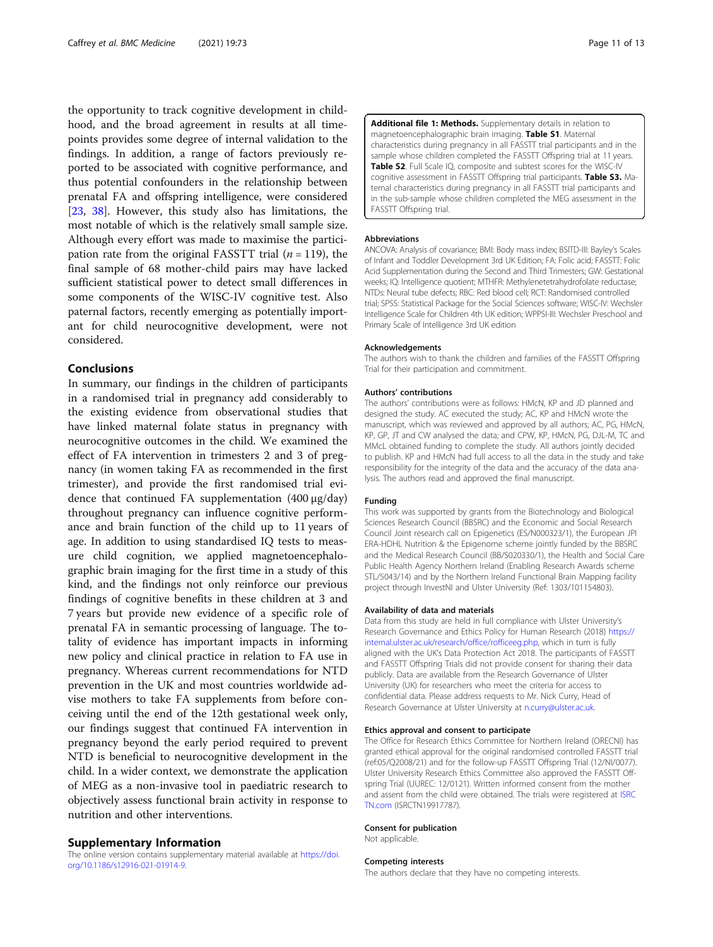<span id="page-10-0"></span>the opportunity to track cognitive development in childhood, and the broad agreement in results at all timepoints provides some degree of internal validation to the findings. In addition, a range of factors previously reported to be associated with cognitive performance, and thus potential confounders in the relationship between prenatal FA and offspring intelligence, were considered [[23,](#page-11-0) [38\]](#page-12-0). However, this study also has limitations, the most notable of which is the relatively small sample size. Although every effort was made to maximise the participation rate from the original FASSTT trial  $(n = 119)$ , the final sample of 68 mother-child pairs may have lacked sufficient statistical power to detect small differences in some components of the WISC-IV cognitive test. Also paternal factors, recently emerging as potentially important for child neurocognitive development, were not considered.

#### Conclusions

In summary, our findings in the children of participants in a randomised trial in pregnancy add considerably to the existing evidence from observational studies that have linked maternal folate status in pregnancy with neurocognitive outcomes in the child. We examined the effect of FA intervention in trimesters 2 and 3 of pregnancy (in women taking FA as recommended in the first trimester), and provide the first randomised trial evidence that continued FA supplementation (400 μg/day) throughout pregnancy can influence cognitive performance and brain function of the child up to 11 years of age. In addition to using standardised IQ tests to measure child cognition, we applied magnetoencephalographic brain imaging for the first time in a study of this kind, and the findings not only reinforce our previous findings of cognitive benefits in these children at 3 and 7 years but provide new evidence of a specific role of prenatal FA in semantic processing of language. The totality of evidence has important impacts in informing new policy and clinical practice in relation to FA use in pregnancy. Whereas current recommendations for NTD prevention in the UK and most countries worldwide advise mothers to take FA supplements from before conceiving until the end of the 12th gestational week only, our findings suggest that continued FA intervention in pregnancy beyond the early period required to prevent NTD is beneficial to neurocognitive development in the child. In a wider context, we demonstrate the application of MEG as a non-invasive tool in paediatric research to objectively assess functional brain activity in response to nutrition and other interventions.

# Supplementary Information

The online version contains supplementary material available at [https://doi.](https://doi.org/10.1186/s12916-021-01914-9) [org/10.1186/s12916-021-01914-9.](https://doi.org/10.1186/s12916-021-01914-9)

Additional file 1: Methods. Supplementary details in relation to magnetoencephalographic brain imaging. Table S1. Maternal characteristics during pregnancy in all FASSTT trial participants and in the sample whose children completed the FASSTT Offspring trial at 11 years. Table S2. Full Scale IQ, composite and subtest scores for the WISC-IV cognitive assessment in FASSTT Offspring trial participants. Table S3. Maternal characteristics during pregnancy in all FASSTT trial participants and in the sub-sample whose children completed the MEG assessment in the FASSTT Offspring trial.

#### Abbreviations

ANCOVA: Analysis of covariance; BMI: Body mass index; BSITD-III: Bayley's Scales of Infant and Toddler Development 3rd UK Edition; FA: Folic acid; FASSTT: Folic Acid Supplementation during the Second and Third Trimesters; GW: Gestational weeks; IQ: Intelligence quotient; MTHFR: Methylenetetrahydrofolate reductase; NTDs: Neural tube defects; RBC: Red blood cell; RCT: Randomised controlled trial; SPSS: Statistical Package for the Social Sciences software; WISC-IV: Wechsler Intelligence Scale for Children 4th UK edition; WPPSI-III: Wechsler Preschool and Primary Scale of Intelligence 3rd UK edition

#### Acknowledgements

The authors wish to thank the children and families of the FASSTT Offspring Trial for their participation and commitment.

#### Authors' contributions

The authors' contributions were as follows: HMcN, KP and JD planned and designed the study. AC executed the study; AC, KP and HMcN wrote the manuscript, which was reviewed and approved by all authors; AC, PG, HMcN, KP, GP, JT and CW analysed the data; and CPW, KP, HMcN, PG, DJL-M, TC and MMcL obtained funding to complete the study. All authors jointly decided to publish. KP and HMcN had full access to all the data in the study and take responsibility for the integrity of the data and the accuracy of the data analysis. The authors read and approved the final manuscript.

#### Funding

This work was supported by grants from the Biotechnology and Biological Sciences Research Council (BBSRC) and the Economic and Social Research Council Joint research call on Epigenetics (ES/N000323/1), the European JPI ERA-HDHL Nutrition & the Epigenome scheme jointly funded by the BBSRC and the Medical Research Council (BB/S020330/1), the Health and Social Care Public Health Agency Northern Ireland (Enabling Research Awards scheme STL/5043/14) and by the Northern Ireland Functional Brain Mapping facility project through InvestNI and Ulster University (Ref: 1303/101154803).

#### Availability of data and materials

Data from this study are held in full compliance with Ulster University's Research Governance and Ethics Policy for Human Research (2018) [https://](https://internal.ulster.ac.uk/research/office/rofficeeg.php) [internal.ulster.ac.uk/research/office/rofficeeg.php,](https://internal.ulster.ac.uk/research/office/rofficeeg.php) which in turn is fully aligned with the UK's Data Protection Act 2018. The participants of FASSTT and FASSTT Offspring Trials did not provide consent for sharing their data publicly. Data are available from the Research Governance of Ulster University (UK) for researchers who meet the criteria for access to confidential data. Please address requests to Mr. Nick Curry, Head of Research Governance at Ulster University at [n.curry@ulster.ac.uk](mailto:n.curry@ulster.ac.uk).

#### Ethics approval and consent to participate

The Office for Research Ethics Committee for Northern Ireland (ORECNI) has granted ethical approval for the original randomised controlled FASSTT trial (ref:05/Q2008/21) and for the follow-up FASSTT Offspring Trial (12/NI/0077). Ulster University Research Ethics Committee also approved the FASSTT Offspring Trial (UUREC: 12/0121). Written informed consent from the mother and assent from the child were obtained. The trials were registered at [ISRC](http://isrctn.com) [TN.com](http://isrctn.com) (ISRCTN19917787).

#### Consent for publication

Not applicable.

#### Competing interests

The authors declare that they have no competing interests.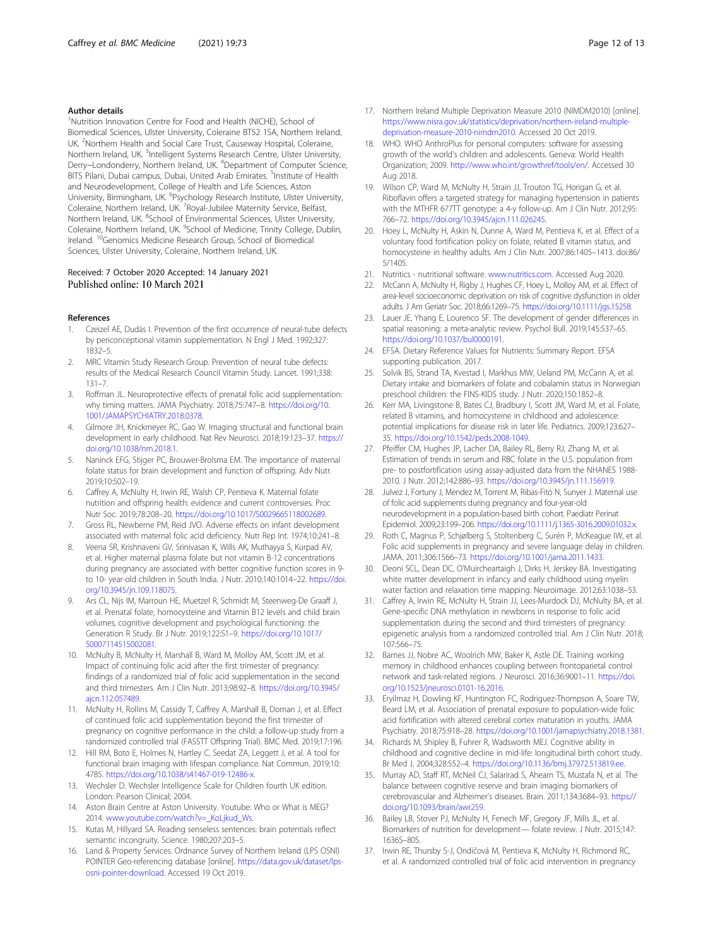#### <span id="page-11-0"></span>Author details

<sup>1</sup>Nutrition Innovation Centre for Food and Health (NICHE), School of Biomedical Sciences, Ulster University, Coleraine BT52 1SA, Northern Ireland, UK. <sup>2</sup>Northern Health and Social Care Trust, Causeway Hospital, Coleraine, Northern Ireland, UK. <sup>3</sup>Intelligent Systems Research Centre, Ulster University, Derry~Londonderry, Northern Ireland, UK. <sup>4</sup>Department of Computer Science, BITS Pilani, Dubai campus, Dubai, United Arab Emirates. <sup>5</sup>Institute of Health and Neurodevelopment, College of Health and Life Sciences, Aston University, Birmingham, UK. <sup>6</sup>Psychology Research Institute, Ulster University, Coleraine, Northern Ireland, UK. <sup>7</sup> Royal-Jubilee Maternity Service, Belfast, Northern Ireland, UK. <sup>8</sup>School of Environmental Sciences, Ulster University, Coleraine, Northern Ireland, UK. <sup>9</sup>School of Medicine, Trinity College, Dublin, Ireland. 10Genomics Medicine Research Group, School of Biomedical Sciences, Ulster University, Coleraine, Northern Ireland, UK.

#### Received: 7 October 2020 Accepted: 14 January 2021 Published online: 10 March 2021

#### References

- 1. Czeizel AE, Dudás I. Prevention of the first occurrence of neural-tube defects by periconceptional vitamin supplementation. N Engl J Med. 1992;327: 1832–5.
- 2. MRC Vitamin Study Research Group. Prevention of neural tube defects: results of the Medical Research Council Vitamin Study. Lancet. 1991;338: 131–7.
- 3. Roffman JL. Neuroprotective effects of prenatal folic acid supplementation: why timing matters. JAMA Psychiatry. 2018;75:747–8. [https://doi.org/10.](https://doi.org/10.1001/JAMAPSYCHIATRY.2018.0378) [1001/JAMAPSYCHIATRY.2018.0378.](https://doi.org/10.1001/JAMAPSYCHIATRY.2018.0378)
- 4. Gilmore JH, Knickmeyer RC, Gao W. Imaging structural and functional brain development in early childhood. Nat Rev Neurosci. 2018;19:123–37. [https://](https://doi.org/10.1038/nrn.2018.1) [doi.org/10.1038/nrn.2018.1](https://doi.org/10.1038/nrn.2018.1).
- 5. Naninck EFG, Stijger PC, Brouwer-Brolsma EM. The importance of maternal folate status for brain development and function of offspring. Adv Nutr. 2019;10:502–19.
- 6. Caffrey A, McNulty H, Irwin RE, Walsh CP, Pentieva K. Maternal folate nutrition and offspring health: evidence and current controversies. Proc Nutr Soc. 2019;78:208–20. [https://doi.org/10.1017/S0029665118002689.](https://doi.org/10.1017/S0029665118002689)
- 7. Gross RL, Newberne PM, Reid JVO. Adverse effects on infant development associated with maternal folic acid deficiency. Nutr Rep Int. 1974;10:241–8.
- 8. Veena SR, Krishnaveni GV, Srinivasan K, Wills AK, Muthayya S, Kurpad AV, et al. Higher maternal plasma folate but not vitamin B-12 concentrations during pregnancy are associated with better cognitive function scores in 9 to 10- year-old children in South India. J Nutr. 2010;140:1014–22. [https://doi.](https://doi.org/10.3945/jn.109.118075) [org/10.3945/jn.109.118075](https://doi.org/10.3945/jn.109.118075).
- Ars CL, Nijs IM, Marroun HE, Muetzel R, Schmidt M, Steenweg-De Graaff J, et al. Prenatal folate, homocysteine and Vitamin B12 levels and child brain volumes, cognitive development and psychological functioning: the Generation R Study. Br J Nutr. 2019;122:S1–9. [https://doi.org/10.1017/](https://doi.org/10.1017/S0007114515002081) [S0007114515002081.](https://doi.org/10.1017/S0007114515002081)
- 10. McNulty B, McNulty H, Marshall B, Ward M, Molloy AM, Scott JM, et al. Impact of continuing folic acid after the first trimester of pregnancy: findings of a randomized trial of folic acid supplementation in the second and third trimesters. Am J Clin Nutr. 2013;98:92–8. [https://doi.org/10.3945/](https://doi.org/10.3945/ajcn.112.057489) [ajcn.112.057489](https://doi.org/10.3945/ajcn.112.057489).
- 11. McNulty H, Rollins M, Cassidy T, Caffrey A, Marshall B, Dornan J, et al. Effect of continued folic acid supplementation beyond the first trimester of pregnancy on cognitive performance in the child: a follow-up study from a randomized controlled trial (FASSTT Offspring Trial). BMC Med. 2019;17:196.
- 12. Hill RM, Boto E, Holmes N, Hartley C, Seedat ZA, Leggett J, et al. A tool for functional brain imaging with lifespan compliance. Nat Commun. 2019;10: 4785. <https://doi.org/10.1038/s41467-019-12486-x>.
- 13. Wechsler D. Wechsler Intelligence Scale for Children fourth UK edition. London: Pearson Clinical; 2004.
- 14. Aston Brain Centre at Aston University. Youtube: Who or What is MEG? 2014. www.youtube.com/watch?v=\_KoLikud\_Ws.
- 15. Kutas M, Hillyard SA. Reading senseless sentences: brain potentials reflect semantic incongruity. Science. 1980;207:203–5.
- 16. Land & Property Services. Ordnance Survey of Northern Ireland (LPS OSNI) POINTER Geo-referencing database [online]. [https://data.gov.uk/dataset/lps](https://data.gov.uk/dataset/lps-osni-pointer-download)[osni-pointer-download.](https://data.gov.uk/dataset/lps-osni-pointer-download) Accessed 19 Oct 2019.
- 17. Northern Ireland Multiple Deprivation Measure 2010 (NIMDM2010) [online]. [https://www.nisra.gov.uk/statistics/deprivation/northern-ireland-multiple](https://www.nisra.gov.uk/statistics/deprivation/northern-ireland-multiple-deprivation-measure-2010-nimdm2010)[deprivation-measure-2010-nimdm2010](https://www.nisra.gov.uk/statistics/deprivation/northern-ireland-multiple-deprivation-measure-2010-nimdm2010). Accessed 20 Oct 2019.
- 18. WHO. WHO AnthroPlus for personal computers: software for assessing growth of the world's children and adolescents. Geneva: World Health Organization; 2009. <http://www.who.int/growthref/tools/en/>. Accessed 30 Aug 2018.
- 19. Wilson CP, Ward M, McNulty H, Strain JJ, Trouton TG, Horigan G, et al. Riboflavin offers a targeted strategy for managing hypertension in patients with the MTHFR 677TT genotype: a 4-y follow-up. Am J Clin Nutr. 2012;95: 766–72. [https://doi.org/10.3945/ajcn.111.026245.](https://doi.org/10.3945/ajcn.111.026245)
- 20. Hoey L, McNulty H, Askin N, Dunne A, Ward M, Pentieva K, et al. Effect of a voluntary food fortification policy on folate, related B vitamin status, and homocysteine in healthy adults. Am J Clin Nutr. 2007;86:1405–1413. doi:86/ 5/1405.
- 21. Nutritics nutritional software. [www.nutritics.com](http://www.nutritics.com). Accessed Aug 2020.
- 22. McCann A, McNulty H, Rigby J, Hughes CF, Hoey L, Molloy AM, et al. Effect of area-level socioeconomic deprivation on risk of cognitive dysfunction in older adults. J Am Geriatr Soc. 2018;66:1269–75. <https://doi.org/10.1111/jgs.15258>.
- 23. Lauer JE, Yhang E, Lourenco SF. The development of gender differences in spatial reasoning: a meta-analytic review. Psychol Bull. 2019;145:537–65. [https://doi.org/10.1037/bul0000191.](https://doi.org/10.1037/bul0000191)
- 24. EFSA. Dietary Reference Values for Nutrients: Summary Report. EFSA supporting publication. 2017.
- 25. Solvik BS, Strand TA, Kvestad I, Markhus MW, Ueland PM, McCann A, et al. Dietary intake and biomarkers of folate and cobalamin status in Norwegian preschool children: the FINS-KIDS study. J Nutr. 2020;150:1852–8.
- 26. Kerr MA, Livingstone B, Bates CJ, Bradbury I, Scott JM, Ward M, et al. Folate, related B vitamins, and homocysteine in childhood and adolescence: potential implications for disease risk in later life. Pediatrics. 2009;123:627– 35. <https://doi.org/10.1542/peds.2008-1049>.
- 27. Pfeiffer CM, Hughes JP, Lacher DA, Bailey RL, Berry RJ, Zhang M, et al. Estimation of trends in serum and RBC folate in the U.S. population from pre- to postfortification using assay-adjusted data from the NHANES 1988- 2010. J Nutr. 2012;142:886–93. [https://doi.org/10.3945/jn.111.156919.](https://doi.org/10.3945/jn.111.156919)
- 28. Julvez J, Fortuny J, Mendez M, Torrent M, Ribas-Fitó N, Sunyer J. Maternal use of folic acid supplements during pregnancy and four-year-old neurodevelopment in a population-based birth cohort. Paediatr Perinat Epidemiol. 2009;23:199–206. <https://doi.org/10.1111/j.1365-3016.2009.01032.x>.
- 29. Roth C, Magnus P, Schjølberg S, Stoltenberg C, Surén P, McKeague IW, et al. Folic acid supplements in pregnancy and severe language delay in children. JAMA. 2011;306:1566–73. <https://doi.org/10.1001/jama.2011.1433>.
- 30. Deoni SCL, Dean DC, O'Muircheartaigh J, Dirks H, Jerskey BA. Investigating white matter development in infancy and early childhood using myelin water faction and relaxation time mapping. Neuroimage. 2012;63:1038–53.
- 31. Caffrey A, Irwin RE, McNulty H, Strain JJ, Lees-Murdock DJ, McNulty BA, et al. Gene-specific DNA methylation in newborns in response to folic acid supplementation during the second and third trimesters of pregnancy: epigenetic analysis from a randomized controlled trial. Am J Clin Nutr. 2018; 107:566–75.
- 32. Barnes JJ, Nobre AC, Woolrich MW, Baker K, Astle DE. Training working memory in childhood enhances coupling between frontoparietal control network and task-related regions. J Neurosci. 2016;36:9001–11. [https://doi.](https://doi.org/10.1523/jneurosci.0101-16.2016) [org/10.1523/jneurosci.0101-16.2016](https://doi.org/10.1523/jneurosci.0101-16.2016).
- 33. Eryilmaz H, Dowling KF, Huntington FC, Rodriguez-Thompson A, Soare TW, Beard LM, et al. Association of prenatal exposure to population-wide folic acid fortification with altered cerebral cortex maturation in youths. JAMA Psychiatry. 2018;75:918–28. <https://doi.org/10.1001/jamapsychiatry.2018.1381>.
- 34. Richards M, Shipley B, Fuhrer R, Wadsworth MEJ. Cognitive ability in childhood and cognitive decline in mid-life: longitudinal birth cohort study. Br Med J. 2004;328:552–4. <https://doi.org/10.1136/bmj.37972.513819.ee>.
- 35. Murray AD, Staff RT, McNeil CJ, Salarirad S, Ahearn TS, Mustafa N, et al. The balance between cognitive reserve and brain imaging biomarkers of cerebrovascular and Alzheimer's diseases. Brain. 2011;134:3684–93. [https://](https://doi.org/10.1093/brain/awr259) [doi.org/10.1093/brain/awr259.](https://doi.org/10.1093/brain/awr259)
- 36. Bailey LB, Stover PJ, McNulty H, Fenech MF, Gregory JF, Mills JL, et al. Biomarkers of nutrition for development— folate review. J Nutr. 2015;147: 1636S–80S.
- 37. Irwin RE, Thursby S-J, Ondičová M, Pentieva K, McNulty H, Richmond RC, et al. A randomized controlled trial of folic acid intervention in pregnancy